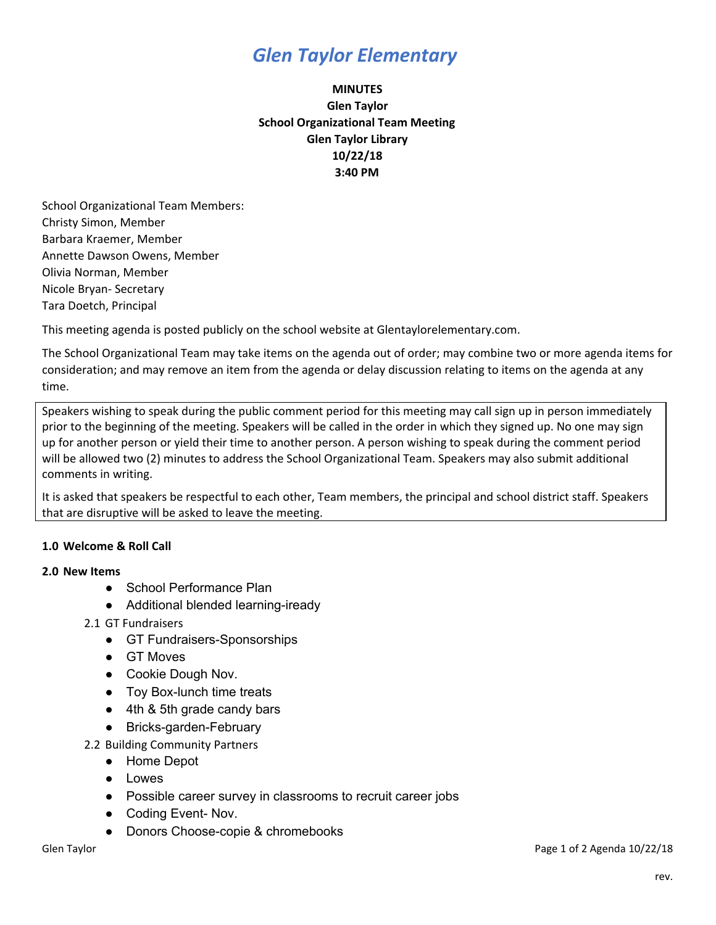## *Glen Taylor Elementary*

### **MINUTES Glen Taylor School Organizational Team Meeting Glen Taylor Library 10/22/18 3:40 PM**

School Organizational Team Members: Christy Simon, Member Barbara Kraemer, Member Annette Dawson Owens, Member Olivia Norman, Member Nicole Bryan- Secretary Tara Doetch, Principal

This meeting agenda is posted publicly on the school website at Glentaylorelementary.com.

The School Organizational Team may take items on the agenda out of order; may combine two or more agenda items for consideration; and may remove an item from the agenda or delay discussion relating to items on the agenda at any time.

Speakers wishing to speak during the public comment period for this meeting may call sign up in person immediately prior to the beginning of the meeting. Speakers will be called in the order in which they signed up. No one may sign up for another person or yield their time to another person. A person wishing to speak during the comment period will be allowed two (2) minutes to address the School Organizational Team. Speakers may also submit additional comments in writing.

It is asked that speakers be respectful to each other, Team members, the principal and school district staff. Speakers that are disruptive will be asked to leave the meeting.

### **1.0 Welcome & Roll Call**

#### **2.0 New Items**

- School Performance Plan
- Additional blended learning-iready
- 2.1 GT Fundraisers
	- GT Fundraisers-Sponsorships
	- GT Moves
	- Cookie Dough Nov.
	- Toy Box-lunch time treats
	- 4th & 5th grade candy bars
	- Bricks-garden-February
- 2.2 Building Community Partners
	- Home Depot
	- Lowes
	- Possible career survey in classrooms to recruit career jobs
	- Coding Event- Nov.
	- Donors Choose-copie & chromebooks